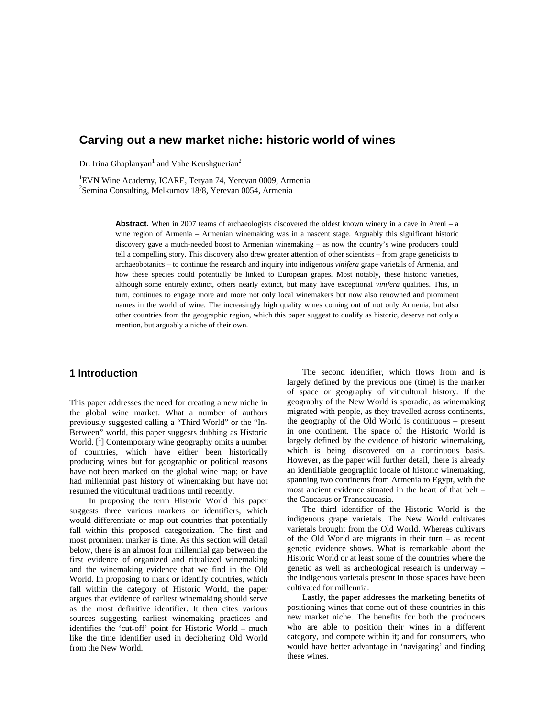# **Carving out a new market niche: historic world of wines**

Dr. Irina Ghaplanyan<sup>1</sup> and Vahe Keushguerian<sup>2</sup>

1 EVN Wine Academy, ICARE, Teryan 74, Yerevan 0009, Armenia 2 Semina Consulting, Melkumov 18/8, Yerevan 0054, Armenia

> Abstract. When in 2007 teams of archaeologists discovered the oldest known winery in a cave in Areni – a wine region of Armenia – Armenian winemaking was in a nascent stage. Arguably this significant historic discovery gave a much-needed boost to Armenian winemaking – as now the country's wine producers could tell a compelling story. This discovery also drew greater attention of other scientists – from grape geneticists to archaeobotanics – to continue the research and inquiry into indigenous *vinifera* grape varietals of Armenia, and how these species could potentially be linked to European grapes. Most notably, these historic varieties, although some entirely extinct, others nearly extinct, but many have exceptional *vinifera* qualities. This, in turn, continues to engage more and more not only local winemakers but now also renowned and prominent names in the world of wine. The increasingly high quality wines coming out of not only Armenia, but also other countries from the geographic region, which this paper suggest to qualify as historic, deserve not only a mention, but arguably a niche of their own.

## **1 Introduction**

This paper addresses the need for creating a new niche in the global wine market. What a number of authors previously suggested calling a "Third World" or the "In-Between" world, this paper suggests dubbing as Historic World.  $\left[ \begin{smallmatrix} 1 \end{smallmatrix} \right]$  Contemporary wine geography omits a number of countries, which have either been historically producing wines but for geographic or political reasons have not been marked on the global wine map; or have had millennial past history of winemaking but have not resumed the viticultural traditions until recently.

In proposing the term Historic World this paper suggests three various markers or identifiers, which would differentiate or map out countries that potentially fall within this proposed categorization. The first and most prominent marker is time. As this section will detail below, there is an almost four millennial gap between the first evidence of organized and ritualized winemaking and the winemaking evidence that we find in the Old World. In proposing to mark or identify countries, which fall within the category of Historic World, the paper argues that evidence of earliest winemaking should serve as the most definitive identifier. It then cites various sources suggesting earliest winemaking practices and identifies the 'cut-off' point for Historic World – much like the time identifier used in deciphering Old World from the New World.

The second identifier, which flows from and is largely defined by the previous one (time) is the marker of space or geography of viticultural history. If the geography of the New World is sporadic, as winemaking migrated with people, as they travelled across continents, the geography of the Old World is continuous – present in one continent. The space of the Historic World is largely defined by the evidence of historic winemaking, which is being discovered on a continuous basis. However, as the paper will further detail, there is already an identifiable geographic locale of historic winemaking, spanning two continents from Armenia to Egypt, with the most ancient evidence situated in the heart of that belt – the Caucasus or Transcaucasia.

The third identifier of the Historic World is the indigenous grape varietals. The New World cultivates varietals brought from the Old World. Whereas cultivars of the Old World are migrants in their turn – as recent genetic evidence shows. What is remarkable about the Historic World or at least some of the countries where the genetic as well as archeological research is underway – the indigenous varietals present in those spaces have been cultivated for millennia.

Lastly, the paper addresses the marketing benefits of positioning wines that come out of these countries in this new market niche. The benefits for both the producers who are able to position their wines in a different category, and compete within it; and for consumers, who would have better advantage in 'navigating' and finding these wines.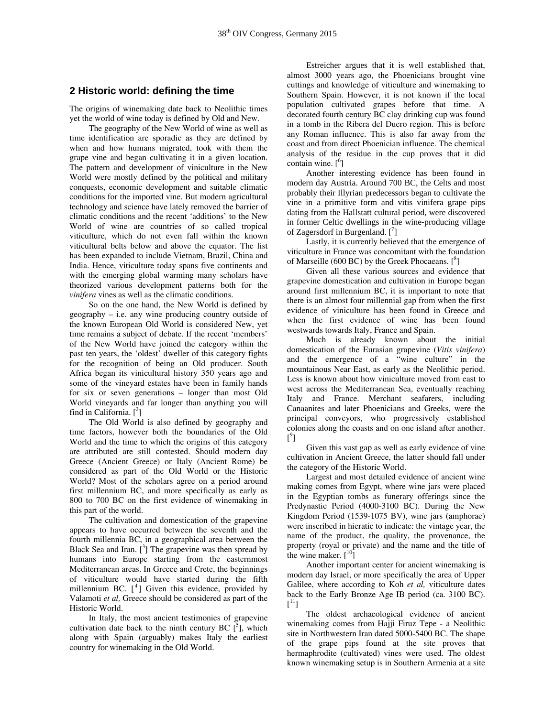#### **2 Historic world: defining the time**

The origins of winemaking date back to Neolithic times yet the world of wine today is defined by Old and New.

The geography of the New World of wine as well as time identification are sporadic as they are defined by when and how humans migrated, took with them the grape vine and began cultivating it in a given location. The pattern and development of viniculture in the New World were mostly defined by the political and military conquests, economic development and suitable climatic conditions for the imported vine. But modern agricultural technology and science have lately removed the barrier of climatic conditions and the recent 'additions' to the New World of wine are countries of so called tropical viticulture, which do not even fall within the known viticultural belts below and above the equator. The list has been expanded to include Vietnam, Brazil, China and India. Hence, viticulture today spans five continents and with the emerging global warming many scholars have theorized various development patterns both for the *vinifera* vines as well as the climatic conditions.

So on the one hand, the New World is defined by geography – i.e. any wine producing country outside of the known European Old World is considered New, yet time remains a subject of debate. If the recent 'members' of the New World have joined the category within the past ten years, the 'oldest' dweller of this category fights for the recognition of being an Old producer. South Africa began its vinicultural history 350 years ago and some of the vineyard estates have been in family hands for six or seven generations – longer than most Old World vineyards and far longer than anything you will find in California.  $[2]$ 

The Old World is also defined by geography and time factors, however both the boundaries of the Old World and the time to which the origins of this category are attributed are still contested. Should modern day Greece (Ancient Greece) or Italy (Ancient Rome) be considered as part of the Old World or the Historic World? Most of the scholars agree on a period around first millennium BC, and more specifically as early as 800 to 700 BC on the first evidence of winemaking in this part of the world.

The cultivation and domestication of the grapevine appears to have occurred between the seventh and the fourth millennia BC, in a geographical area between the Black Sea and Iran.  $\left[ \begin{array}{c} 3 \end{array} \right]$  The grapevine was then spread by humans into Europe starting from the easternmost Mediterranean areas. In Greece and Crete, the beginnings of viticulture would have started during the fifth millennium BC.  $[$ <sup>4</sup> $]$  Given this evidence, provided by Valamoti *et al,* Greece should be considered as part of the Historic World.

In Italy, the most ancient testimonies of grapevine cultivation date back to the ninth century BC  $\left[\begin{matrix}5\\1\end{matrix}\right]$ , which along with Spain (arguably) makes Italy the earliest country for winemaking in the Old World.

Estreicher argues that it is well established that, almost 3000 years ago, the Phoenicians brought vine cuttings and knowledge of viticulture and winemaking to Southern Spain. However, it is not known if the local population cultivated grapes before that time. A decorated fourth century BC clay drinking cup was found in a tomb in the Ribera del Duero region. This is before any Roman influence. This is also far away from the coast and from direct Phoenician influence. The chemical analysis of the residue in the cup proves that it did contain wine.  $[6]$ 

Another interesting evidence has been found in modern day Austria. Around 700 BC, the Celts and most probably their Illyrian predecessors began to cultivate the vine in a primitive form and vitis vinifera grape pips dating from the Hallstatt cultural period, were discovered in former Celtic dwellings in the wine-producing village of Zagersdorf in Burgenland.  $\left[ \begin{matrix} 7 \end{matrix} \right]$ 

Lastly, it is currently believed that the emergence of viticulture in France was concomitant with the foundation of Marseille (600 BC) by the Greek Phocaeans.  $\binom{8}{1}$ 

Given all these various sources and evidence that grapevine domestication and cultivation in Europe began around first millennium BC, it is important to note that there is an almost four millennial gap from when the first evidence of viniculture has been found in Greece and when the first evidence of wine has been found westwards towards Italy, France and Spain.

Much is already known about the initial domestication of the Eurasian grapevine (*Vitis vinifera*) and the emergence of a "wine culture" in the mountainous Near East, as early as the Neolithic period. Less is known about how viniculture moved from east to west across the Mediterranean Sea, eventually reaching Italy and France. Merchant seafarers, including Canaanites and later Phoenicians and Greeks, were the principal conveyors, who progressively established colonies along the coasts and on one island after another.  $[^{9}]$ 

Given this vast gap as well as early evidence of vine cultivation in Ancient Greece, the latter should fall under the category of the Historic World.

Largest and most detailed evidence of ancient wine making comes from Egypt, where wine jars were placed in the Egyptian tombs as funerary offerings since the Predynastic Period (4000-3100 BC). During the New Kingdom Period (1539-1075 BV), wine jars (amphorae) were inscribed in hieratic to indicate: the vintage year, the name of the product, the quality, the provenance, the property (royal or private) and the name and the title of the wine maker.  $[10]$ 

Another important center for ancient winemaking is modern day Israel, or more specifically the area of Upper Galilee, where according to Koh *et al*, viticulture dates back to the Early Bronze Age IB period (ca. 3100 BC).  $\left[\begin{smallmatrix} 1 & 1 \ 1 & 1 \end{smallmatrix}\right]$ 

The oldest archaeological evidence of ancient winemaking comes from Hajji Firuz Tepe - a Neolithic site in Northwestern Iran dated 5000-5400 BC. The shape of the grape pips found at the site proves that hermaphrodite (cultivated) vines were used. The oldest known winemaking setup is in Southern Armenia at a site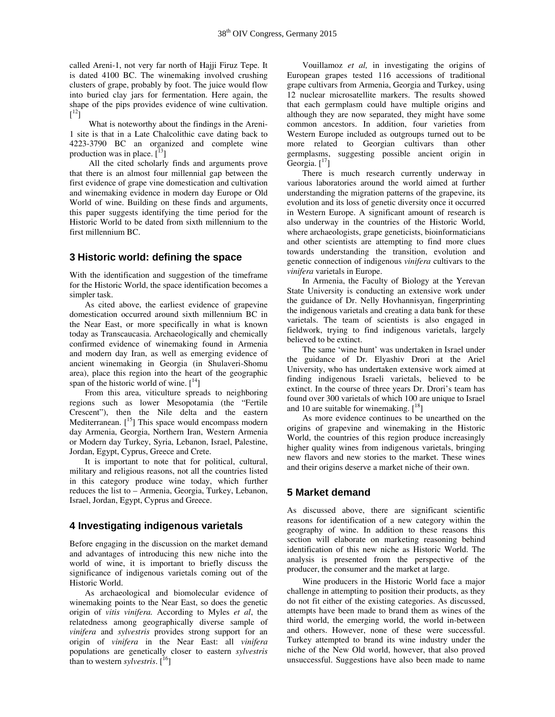called Areni-1, not very far north of Hajji Firuz Tepe. It is dated 4100 BC. The winemaking involved crushing clusters of grape, probably by foot. The juice would flow into buried clay jars for fermentation. Here again, the shape of the pips provides evidence of wine cultivation.  $\left[ \begin{smallmatrix} 1 & 2 \\ 1 & 2 \end{smallmatrix} \right]$ 

What is noteworthy about the findings in the Areni-1 site is that in a Late Chalcolithic cave dating back to 4223-3790 BC an organized and complete wine production was in place.  $[13]$ 

All the cited scholarly finds and arguments prove that there is an almost four millennial gap between the first evidence of grape vine domestication and cultivation and winemaking evidence in modern day Europe or Old World of wine. Building on these finds and arguments, this paper suggests identifying the time period for the Historic World to be dated from sixth millennium to the first millennium BC.

## **3 Historic world: defining the space**

With the identification and suggestion of the timeframe for the Historic World, the space identification becomes a simpler task.

As cited above, the earliest evidence of grapevine domestication occurred around sixth millennium BC in the Near East, or more specifically in what is known today as Transcaucasia. Archaeologically and chemically confirmed evidence of winemaking found in Armenia and modern day Iran, as well as emerging evidence of ancient winemaking in Georgia (in Shulaveri-Shomu area), place this region into the heart of the geographic span of the historic world of wine.  $[14]$ 

From this area, viticulture spreads to neighboring regions such as lower Mesopotamia (the "Fertile Crescent"), then the Nile delta and the eastern Mediterranean.  $[15]$  This space would encompass modern day Armenia, Georgia, Northern Iran, Western Armenia or Modern day Turkey, Syria, Lebanon, Israel, Palestine, Jordan, Egypt, Cyprus, Greece and Crete.

It is important to note that for political, cultural, military and religious reasons, not all the countries listed in this category produce wine today, which further reduces the list to – Armenia, Georgia, Turkey, Lebanon, Israel, Jordan, Egypt, Cyprus and Greece.

# **4 Investigating indigenous varietals**

Before engaging in the discussion on the market demand and advantages of introducing this new niche into the world of wine, it is important to briefly discuss the significance of indigenous varietals coming out of the Historic World.

As archaeological and biomolecular evidence of winemaking points to the Near East, so does the genetic origin of *vitis vinifera.* According to Myles *et al*, the relatedness among geographically diverse sample of *vinifera* and *sylvestris* provides strong support for an origin of *vinifera* in the Near East: all *vinifera* populations are genetically closer to eastern *sylvestris* than to western *sylvestris*. [16]

Vouillamoz *et al,* in investigating the origins of European grapes tested 116 accessions of traditional grape cultivars from Armenia, Georgia and Turkey, using 12 nuclear microsatellite markers. The results showed that each germplasm could have multiple origins and although they are now separated, they might have some common ancestors. In addition, four varieties from Western Europe included as outgroups turned out to be more related to Georgian cultivars than other germplasms, suggesting possible ancient origin in Georgia.  $\left[ \begin{smallmatrix} 17 \end{smallmatrix} \right]$ 

There is much research currently underway in various laboratories around the world aimed at further understanding the migration patterns of the grapevine, its evolution and its loss of genetic diversity once it occurred in Western Europe. A significant amount of research is also underway in the countries of the Historic World, where archaeologists, grape geneticists, bioinformaticians and other scientists are attempting to find more clues towards understanding the transition, evolution and genetic connection of indigenous *vinifera* cultivars to the *vinifera* varietals in Europe.

In Armenia, the Faculty of Biology at the Yerevan State University is conducting an extensive work under the guidance of Dr. Nelly Hovhannisyan, fingerprinting the indigenous varietals and creating a data bank for these varietals. The team of scientists is also engaged in fieldwork, trying to find indigenous varietals, largely believed to be extinct.

The same 'wine hunt' was undertaken in Israel under the guidance of Dr. Elyashiv Drori at the Ariel University, who has undertaken extensive work aimed at finding indigenous Israeli varietals, believed to be extinct. In the course of three years Dr. Drori's team has found over 300 varietals of which 100 are unique to Israel and 10 are suitable for winemaking.  $[18]$ 

As more evidence continues to be unearthed on the origins of grapevine and winemaking in the Historic World, the countries of this region produce increasingly higher quality wines from indigenous varietals, bringing new flavors and new stories to the market. These wines and their origins deserve a market niche of their own.

# **5 Market demand**

As discussed above, there are significant scientific reasons for identification of a new category within the geography of wine. In addition to these reasons this section will elaborate on marketing reasoning behind identification of this new niche as Historic World. The analysis is presented from the perspective of the producer, the consumer and the market at large.

Wine producers in the Historic World face a major challenge in attempting to position their products, as they do not fit either of the existing categories. As discussed, attempts have been made to brand them as wines of the third world, the emerging world, the world in-between and others. However, none of these were successful. Turkey attempted to brand its wine industry under the niche of the New Old world, however, that also proved unsuccessful. Suggestions have also been made to name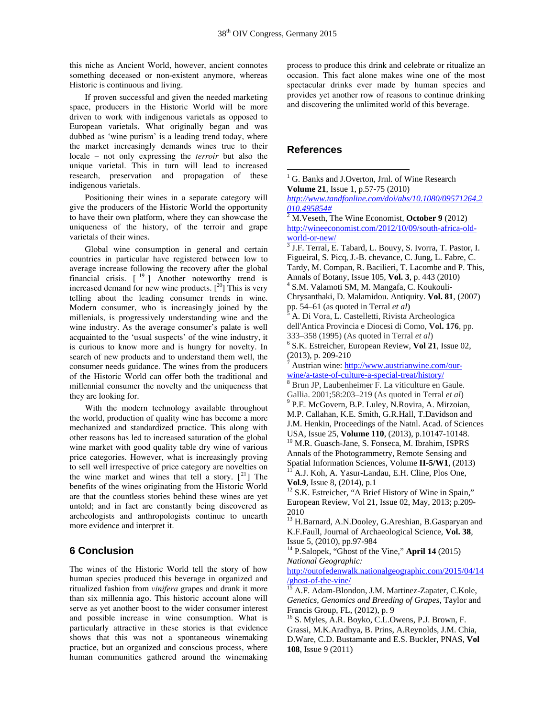this niche as Ancient World, however, ancient connotes something deceased or non-existent anymore, whereas Historic is continuous and living.

If proven successful and given the needed marketing space, producers in the Historic World will be more driven to work with indigenous varietals as opposed to European varietals. What originally began and was dubbed as 'wine purism' is a leading trend today, where the market increasingly demands wines true to their locale – not only expressing the *terroir* but also the unique varietal. This in turn will lead to increased research, preservation and propagation of these indigenous varietals.

Positioning their wines in a separate category will give the producers of the Historic World the opportunity to have their own platform, where they can showcase the uniqueness of the history, of the terroir and grape varietals of their wines.

Global wine consumption in general and certain countries in particular have registered between low to average increase following the recovery after the global financial crisis.  $[19]$  Another noteworthy trend is increased demand for new wine products.  $[2^0]$  This is very telling about the leading consumer trends in wine. Modern consumer, who is increasingly joined by the millenials, is progressively understanding wine and the wine industry. As the average consumer's palate is well acquainted to the 'usual suspects' of the wine industry, it is curious to know more and is hungry for novelty. In search of new products and to understand them well, the consumer needs guidance. The wines from the producers of the Historic World can offer both the traditional and millennial consumer the novelty and the uniqueness that they are looking for.

With the modern technology available throughout the world, production of quality wine has become a more mechanized and standardized practice. This along with other reasons has led to increased saturation of the global wine market with good quality table dry wine of various price categories. However, what is increasingly proving to sell well irrespective of price category are novelties on the wine market and wines that tell a story.  $\lceil^{21} \rceil$  The benefits of the wines originating from the Historic World are that the countless stories behind these wines are yet untold; and in fact are constantly being discovered as archeologists and anthropologists continue to unearth more evidence and interpret it.

### **6 Conclusion**

The wines of the Historic World tell the story of how human species produced this beverage in organized and ritualized fashion from *vinifera* grapes and drank it more than six millennia ago. This historic account alone will serve as yet another boost to the wider consumer interest and possible increase in wine consumption. What is particularly attractive in these stories is that evidence shows that this was not a spontaneous winemaking practice, but an organized and conscious process, where human communities gathered around the winemaking

process to produce this drink and celebrate or ritualize an occasion. This fact alone makes wine one of the most spectacular drinks ever made by human species and provides yet another row of reasons to continue drinking and discovering the unlimited world of this beverage.

#### **References**

 $\overline{a}$ 

7

<sup>1</sup> G. Banks and J.Overton, Jrnl. of Wine Research **Volume 21**, Issue 1, p.57-75 (2010) *http://www.tandfonline.com/doi/abs/10.1080/09571264.2 010.495854#* 2 M.Veseth, The Wine Economist*,* **October 9** (2012) http://wineeconomist.com/2012/10/09/south-africa-oldworld-or-new/  $\overline{3}$  J.F. Terral, E. Tabard, L. Bouvy, S. Ivorra, T. Pastor, I. Figueiral, S. Picq, J.-B. chevance, C. Jung, L. Fabre, C. Tardy, M. Compan, R. Bacilieri, T. Lacombe and P. This, Annals of Botany, Issue 105, **Vol. 3**, p. 443 (2010) 4 S.M. Valamoti SM, M. Mangafa, C. Koukouli-Chrysanthaki, D. Malamidou. Antiquity. **Vol. 81**, (2007) pp. 54–61 (as quoted in Terral *et al*) A. Di Vora, L. Castelletti, Rivista Archeologica dell'Antica Provincia e Diocesi di Como, **Vol. 176**, pp. 333–358 (1995) (As quoted in Terral *et al*) <sup>6</sup> S.K. Estreicher, European Review, **Vol 21**, Issue 02, (2013), p. 209-210 Austrian wine: http://www.austrianwine.com/ourwine/a-taste-of-culture-a-special-treat/history/<br><sup>8</sup> Brun JP, Laubenheimer F. La viticulture en Gaule. Gallia. 2001;58:203–219 (As quoted in Terral *et al*) <sup>9</sup> <sup>9</sup> P.E. McGovern, B.P. Luley, N.Rovira, A. Mirzoian, M.P. Callahan, K.E. Smith, G.R.Hall, T.Davidson and J.M. Henkin, Proceedings of the Natnl. Acad. of Sciences USA, Issue 25, **Volume 110**, (2013), p.10147-10148. 10 M.R. Guasch-Jane, S. Fonseca, M. Ibrahim, ISPRS Annals of the Photogrammetry, Remote Sensing and Spatial Information Sciences, Volume **II-5/W1**, (2013) <sup>11</sup> A.J. Koh, A. Yasur-Landau, E.H. Cline, Plos One, **Vol.9**, Issue 8, (2014), p.1<br><sup>12</sup> S.K. Estreicher, "A Brief History of Wine in Spain," European Review, Vol 21, Issue 02, May, 2013; p.209- 2010 13 H.Barnard, A.N.Dooley, G.Areshian, B.Gasparyan and K.F.Faull, Journal of Archaeological Science, **Vol. 38**,

Issue 5, (2010), pp.97-984

14 P.Salopek, "Ghost of the Vine," **April 14** (2015) *National Geographic:*

http://outofedenwalk.nationalgeographic.com/2015/04/14 /ghost-of-the-vine/ 15 A.F. Adam-Blondon, J.M. Martinez-Zapater, C.Kole,

*Genetics, Genomics and Breeding of Grapes*, Taylor and Francis Group, FL, (2012), p. 9

<sup>16</sup> S. Myles, A.R. Boyko, C.L.Owens, P.J. Brown, F. Grassi, M.K.Aradhya, B. Prins, A.Reynolds, J.M. Chia, D.Ware, C.D. Bustamante and E.S. Buckler, PNAS, **Vol 108**, Issue 9 (2011)